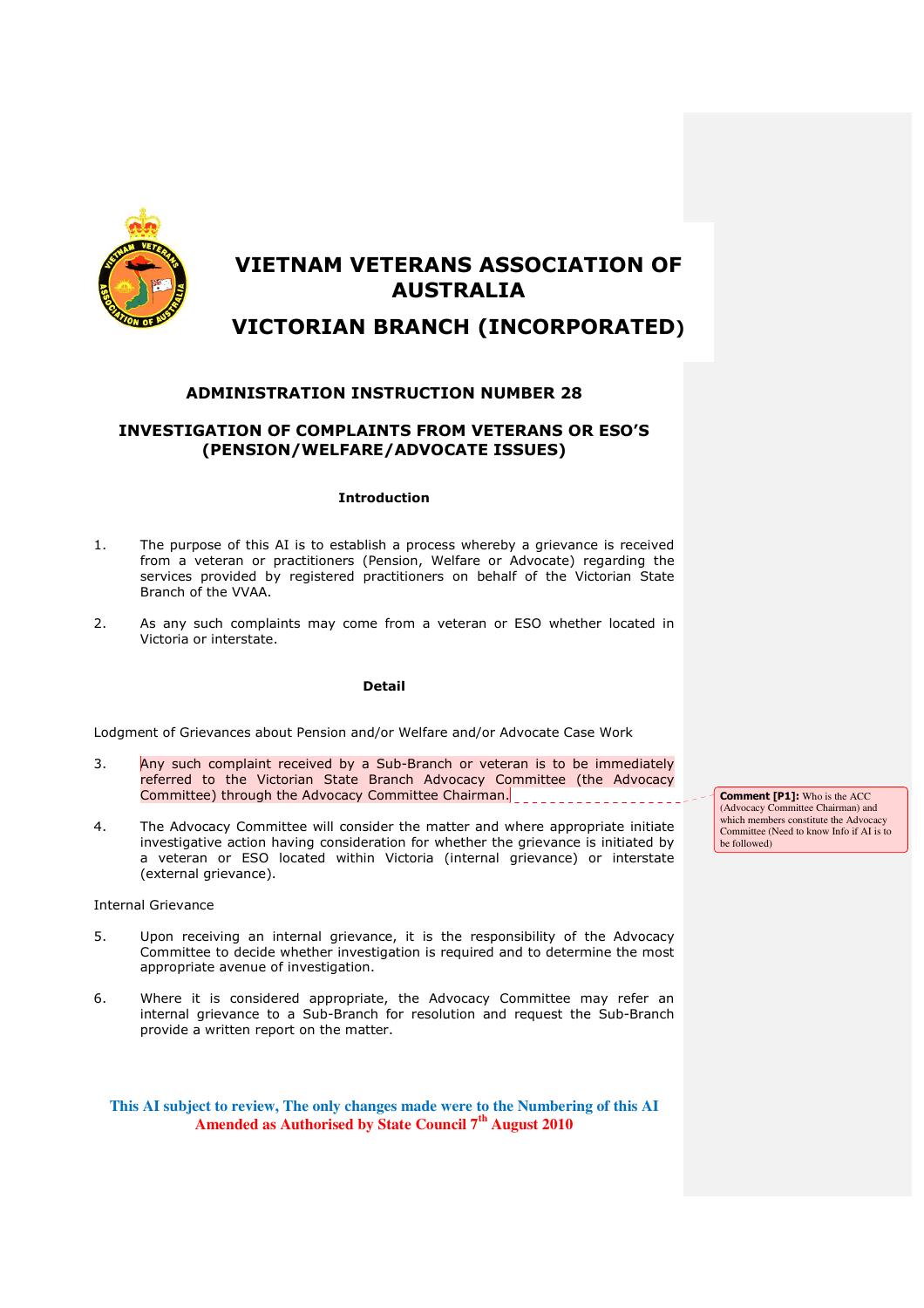

# VIETNAM VETERANS ASSOCIATION OF AUSTRALIA

## VICTORIAN BRANCH (INCORPORATED)

## ADMINISTRATION INSTRUCTION NUMBER 28

## INVESTIGATION OF COMPLAINTS FROM VETERANS OR ESO'S (PENSION/WELFARE/ADVOCATE ISSUES)

### Introduction

- 1. The purpose of this AI is to establish a process whereby a grievance is received from a veteran or practitioners (Pension, Welfare or Advocate) regarding the services provided by registered practitioners on behalf of the Victorian State Branch of the VVAA.
- 2. As any such complaints may come from a veteran or ESO whether located in Victoria or interstate.

### Detail

Lodgment of Grievances about Pension and/or Welfare and/or Advocate Case Work

- 3. Any such complaint received by a Sub-Branch or veteran is to be immediately referred to the Victorian State Branch Advocacy Committee (the Advocacy Committee) through the Advocacy Committee Chairman.
- 4. The Advocacy Committee will consider the matter and where appropriate initiate investigative action having consideration for whether the grievance is initiated by a veteran or ESO located within Victoria (internal grievance) or interstate (external grievance).

Internal Grievance

- 5. Upon receiving an internal grievance, it is the responsibility of the Advocacy Committee to decide whether investigation is required and to determine the most appropriate avenue of investigation.
- 6. Where it is considered appropriate, the Advocacy Committee may refer an internal grievance to a Sub-Branch for resolution and request the Sub-Branch provide a written report on the matter.

**This AI subject to review, The only changes made were to the Numbering of this AI Amended as Authorised by State Council 7th August 2010**

Comment [P1]: Who is the ACC (Advocacy Committee Chairman) and which members constitute the Advocacy Committee (Need to know Info if AI is to be followed)